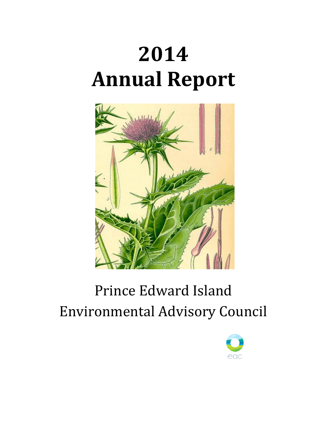# **2014 Annual Report**



# Prince Edward Island Environmental Advisory Council

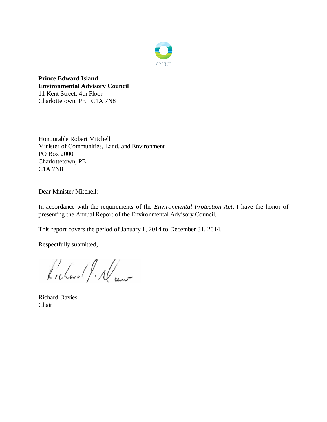

**Prince Edward Island Environmental Advisory Council** 11 Kent Street, 4th Floor Charlottetown, PE C1A 7N8

Honourable Robert Mitchell Minister of Communities, Land, and Environment PO Box 2000 Charlottetown, PE C1A 7N8

Dear Minister Mitchell:

In accordance with the requirements of the *Environmental Protection Act*, I have the honor of presenting the Annual Report of the Environmental Advisory Council.

This report covers the period of January 1, 2014 to December 31, 2014.

Respectfully submitted,

Kichard J. Al au

Richard Davies Chair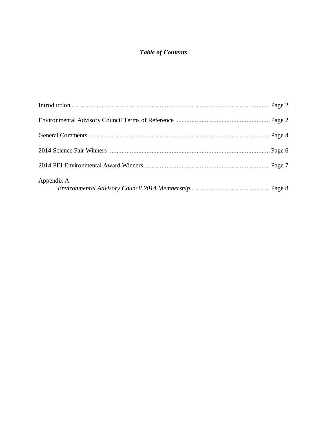# *Table of Contents*

| Appendix A |  |
|------------|--|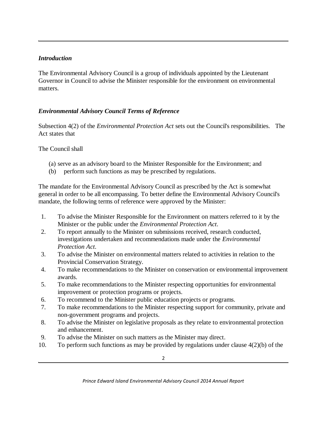# *Introduction*

The Environmental Advisory Council is a group of individuals appointed by the Lieutenant Governor in Council to advise the Minister responsible for the environment on environmental matters.

# *Environmental Advisory Council Terms of Reference*

Subsection 4(2) of the *Environmental Protection Act* sets out the Council's responsibilities. The Act states that

The Council shall

- (a) serve as an advisory board to the Minister Responsible for the Environment; and
- (b) perform such functions as may be prescribed by regulations.

The mandate for the Environmental Advisory Council as prescribed by the Act is somewhat general in order to be all encompassing. To better define the Environmental Advisory Council's mandate, the following terms of reference were approved by the Minister:

- 1. To advise the Minister Responsible for the Environment on matters referred to it by the Minister or the public under the *Environmental Protection Act*.
- 2. To report annually to the Minister on submissions received, research conducted, investigations undertaken and recommendations made under the *Environmental Protection Act*.
- 3. To advise the Minister on environmental matters related to activities in relation to the Provincial Conservation Strategy.
- 4. To make recommendations to the Minister on conservation or environmental improvement awards.
- 5. To make recommendations to the Minister respecting opportunities for environmental improvement or protection programs or projects.
- 6. To recommend to the Minister public education projects or programs.
- 7. To make recommendations to the Minister respecting support for community, private and non-government programs and projects.
- 8. To advise the Minister on legislative proposals as they relate to environmental protection and enhancement.
- 9. To advise the Minister on such matters as the Minister may direct.
- 10. To perform such functions as may be provided by regulations under clause 4(2)(b) of the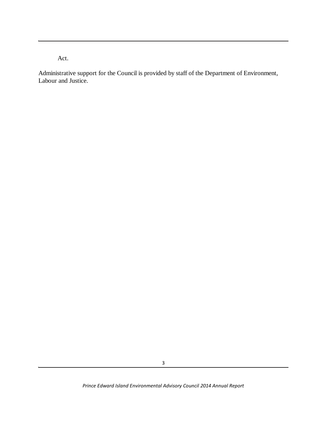Act.

Administrative support for the Council is provided by staff of the Department of Environment, Labour and Justice.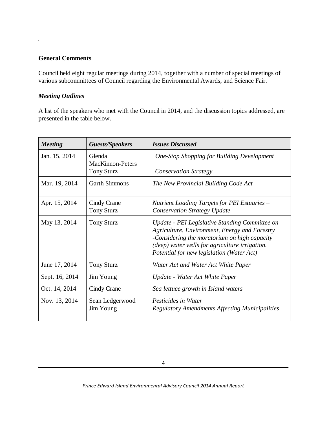#### **General Comments**

Council held eight regular meetings during 2014, together with a number of special meetings of various subcommittees of Council regarding the Environmental Awards, and Science Fair.

# *Meeting Outlines*

A list of the speakers who met with the Council in 2014, and the discussion topics addressed, are presented in the table below.

| <b>Meeting</b> | <b>Guests/Speakers</b>                                 | <b>Issues Discussed</b>                                                                                                                                                                                                                        |
|----------------|--------------------------------------------------------|------------------------------------------------------------------------------------------------------------------------------------------------------------------------------------------------------------------------------------------------|
| Jan. 15, 2014  | Glenda<br><b>MacKinnon-Peters</b><br><b>Tony Sturz</b> | <b>One-Stop Shopping for Building Development</b><br><b>Conservation Strategy</b>                                                                                                                                                              |
| Mar. 19, 2014  | <b>Garth Simmons</b>                                   | The New Provincial Building Code Act                                                                                                                                                                                                           |
| Apr. 15, 2014  | Cindy Crane<br><b>Tony Sturz</b>                       | Nutrient Loading Targets for PEI Estuaries -<br><b>Conservation Strategy Update</b>                                                                                                                                                            |
| May 13, 2014   | <b>Tony Sturz</b>                                      | Update - PEI Legislative Standing Committee on<br>Agriculture, Environment, Energy and Forestry<br>-Considering the moratorium on high capacity<br>(deep) water wells for agriculture irrigation.<br>Potential for new legislation (Water Act) |
| June 17, 2014  | <b>Tony Sturz</b>                                      | Water Act and Water Act White Paper                                                                                                                                                                                                            |
| Sept. 16, 2014 | Jim Young                                              | Update - Water Act White Paper                                                                                                                                                                                                                 |
| Oct. 14, 2014  | Cindy Crane                                            | Sea lettuce growth in Island waters                                                                                                                                                                                                            |
| Nov. 13, 2014  | Sean Ledgerwood<br>Jim Young                           | Pesticides in Water<br><b>Regulatory Amendments Affecting Municipalities</b>                                                                                                                                                                   |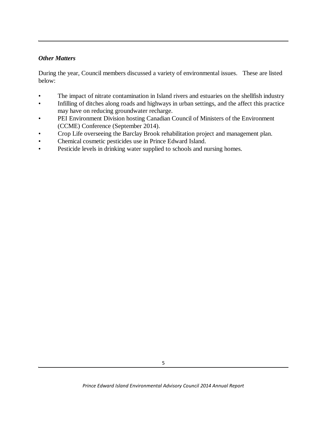#### *Other Matters*

During the year, Council members discussed a variety of environmental issues. These are listed below:

- The impact of nitrate contamination in Island rivers and estuaries on the shellfish industry
- Infilling of ditches along roads and highways in urban settings, and the affect this practice may have on reducing groundwater recharge.
- PEI Environment Division hosting Canadian Council of Ministers of the Environment (CCME) Conference (September 2014).
- Crop Life overseeing the Barclay Brook rehabilitation project and management plan.
- Chemical cosmetic pesticides use in Prince Edward Island.
- Pesticide levels in drinking water supplied to schools and nursing homes.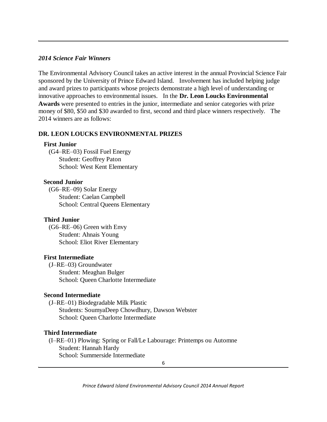#### *2014 Science Fair Winners*

The Environmental Advisory Council takes an active interest in the annual Provincial Science Fair sponsored by the University of Prince Edward Island. Involvement has included helping judge and award prizes to participants whose projects demonstrate a high level of understanding or innovative approaches to environmental issues. In the **Dr. Leon Loucks Environmental Awards** were presented to entries in the junior, intermediate and senior categories with prize money of \$80, \$50 and \$30 awarded to first, second and third place winners respectively. The 2014 winners are as follows:

#### **DR. LEON LOUCKS ENVIRONMENTAL PRIZES**

#### **First Junior**

 (G4–RE–03) Fossil Fuel Energy Student: Geoffrey Paton School: West Kent Elementary

#### **Second Junior**

 (G6–RE–09) Solar Energy Student: Caelan Campbell School: Central Queens Elementary

#### **Third Junior**

 (G6–RE–06) Green with Envy Student: Ahnais Young School: Eliot River Elementary

#### **First Intermediate**

 (J–RE–03) Groundwater Student: Meaghan Bulger School: Queen Charlotte Intermediate

#### **Second Intermediate**

 (J–RE–01) Biodegradable Milk Plastic Students: SoumyaDeep Chowdhury, Dawson Webster School: Queen Charlotte Intermediate

#### **Third Intermediate**

 (I–RE–01) Plowing: Spring or Fall/Le Labourage: Printemps ou Automne Student: Hannah Hardy School: Summerside Intermediate

6

*Prince Edward Island Environmental Advisory Council 2014 Annual Report*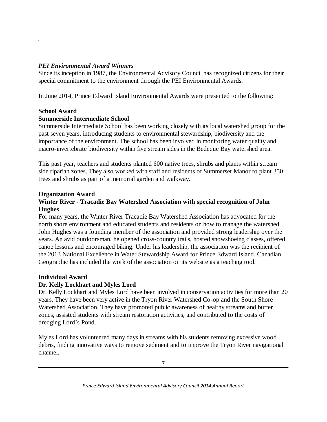# *PEI Environmental Award Winners*

Since its inception in 1987, the Environmental Advisory Council has recognized citizens for their special commitment to the environment through the PEI Environmental Awards.

In June 2014, Prince Edward Island Environmental Awards were presented to the following:

## **School Award**

# **Summerside Intermediate School**

Summerside Intermediate School has been working closely with its local watershed group for the past seven years, introducing students to environmental stewardship, biodiversity and the importance of the environment. The school has been involved in monitoring water quality and macro-invertebrate biodiversity within five stream sides in the Bedeque Bay watershed area.

This past year, teachers and students planted 600 native trees, shrubs and plants within stream side riparian zones. They also worked with staff and residents of Summerset Manor to plant 350 trees and shrubs as part of a memorial garden and walkway.

## **Organization Award**

# **Winter River - Tracadie Bay Watershed Association with special recognition of John Hughes**

For many years, the Winter River Tracadie Bay Watershed Association has advocated for the north shore environment and educated students and residents on how to manage the watershed. John Hughes was a founding member of the association and provided strong leadership over the years. An avid outdoorsman, he opened cross-country trails, hosted snowshoeing classes, offered canoe lessons and encouraged biking. Under his leadership, the association was the recipient of the 2013 National Excellence in Water Stewardship Award for Prince Edward Island. Canadian Geographic has included the work of the association on its website as a teaching tool.

## **Individual Award**

# **Dr. Kelly Lockhart and Myles Lord**

Dr. Kelly Lockhart and Myles Lord have been involved in conservation activities for more than 20 years. They have been very active in the Tryon River Watershed Co-op and the South Shore Watershed Association. They have promoted public awareness of healthy streams and buffer zones, assisted students with stream restoration activities, and contributed to the costs of dredging Lord's Pond.

Myles Lord has volunteered many days in streams with his students removing excessive wood debris, finding innovative ways to remove sediment and to improve the Tryon River navigational channel.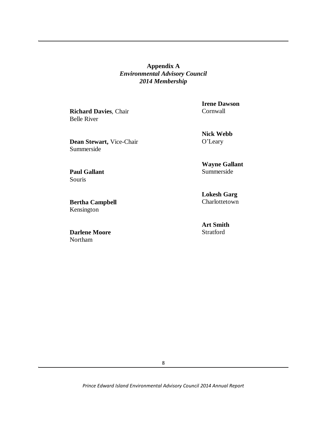**Appendix A** *Environmental Advisory Council 2014 Membership*

**Richard Davies**, Chair Belle River

**Dean Stewart,** Vice-Chair Summerside

**Paul Gallant** Souris

**Bertha Campbell** Kensington

**Darlene Moore** Northam

**Irene Dawson** Cornwall

**Nick Webb** O'Leary

**Wayne Gallant** Summerside

**Lokesh Garg** Charlottetown

**Art Smith** Stratford